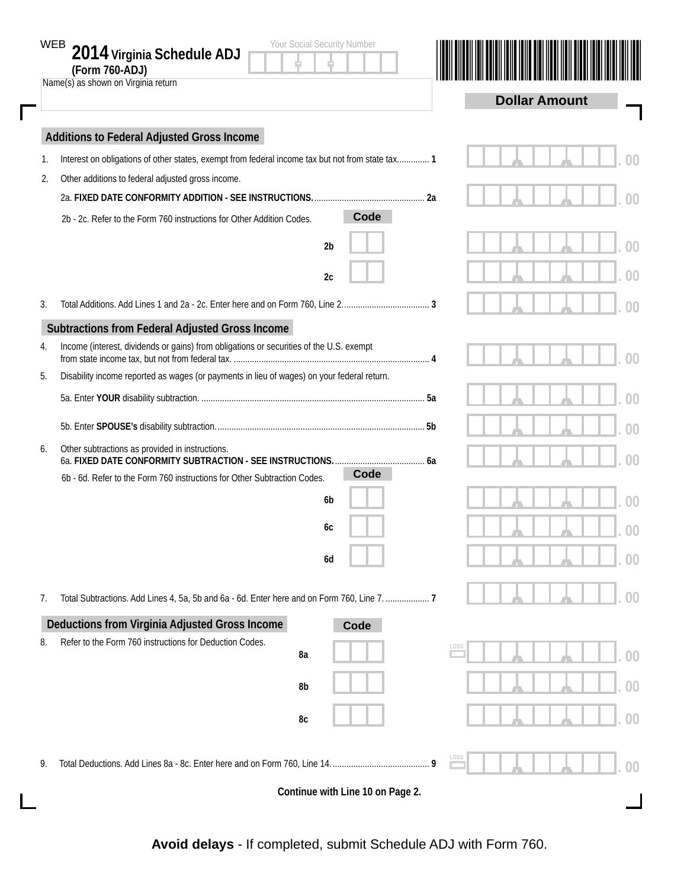|    | Your Social Security Number<br>WEB<br>2014 Virginia Schedule ADJ<br>(Form 760-ADJ)<br>Name(s) as shown on Virginia return |  | <b>Dollar Amount</b> |    |
|----|---------------------------------------------------------------------------------------------------------------------------|--|----------------------|----|
|    | Additions to Federal Adjusted Gross Income                                                                                |  |                      |    |
| 1. | Interest on obligations of other states, exempt from federal income tax but not from state tax 1                          |  |                      |    |
| 2. | Other additions to federal adjusted gross income.                                                                         |  |                      |    |
|    |                                                                                                                           |  |                      |    |
|    | Code<br>2b - 2c. Refer to the Form 760 instructions for Other Addition Codes.                                             |  |                      |    |
|    | 2 <sub>b</sub>                                                                                                            |  |                      | DO |
|    | 2c                                                                                                                        |  |                      |    |
| 3. |                                                                                                                           |  |                      |    |
|    | Subtractions from Federal Adjusted Gross Income                                                                           |  |                      |    |
| 4. | Income (interest, dividends or gains) from obligations or securities of the U.S. exempt                                   |  |                      |    |
| 5. | Disability income reported as wages (or payments in lieu of wages) on your federal return.                                |  |                      |    |
|    |                                                                                                                           |  |                      |    |
|    |                                                                                                                           |  |                      | X  |
| 6. | Other subtractions as provided in instructions.                                                                           |  |                      |    |
|    | Code<br>6b - 6d. Refer to the Form 760 instructions for Other Subtraction Codes.                                          |  |                      |    |
|    | 6b                                                                                                                        |  |                      |    |
|    | 6с                                                                                                                        |  |                      |    |
|    | 6d                                                                                                                        |  |                      | 00 |
|    |                                                                                                                           |  |                      |    |
| 7. | Total Subtractions. Add Lines 4, 5a, 5b and 6a - 6d. Enter here and on Form 760, Line 7.  7                               |  |                      |    |
|    | Deductions from Virginia Adjusted Gross Income<br>Code                                                                    |  |                      |    |
| 8. | Refer to the Form 760 instructions for Deduction Codes.                                                                   |  |                      |    |
|    | 8a                                                                                                                        |  |                      | 00 |
|    | 8b                                                                                                                        |  |                      | 00 |
|    | 8c                                                                                                                        |  |                      | 00 |
| 9. |                                                                                                                           |  |                      |    |
|    |                                                                                                                           |  |                      |    |
|    | Continue with Line 10 on Page 2.                                                                                          |  |                      |    |

**Avoid delays** - If completed, submit Schedule ADJ with Form 760.